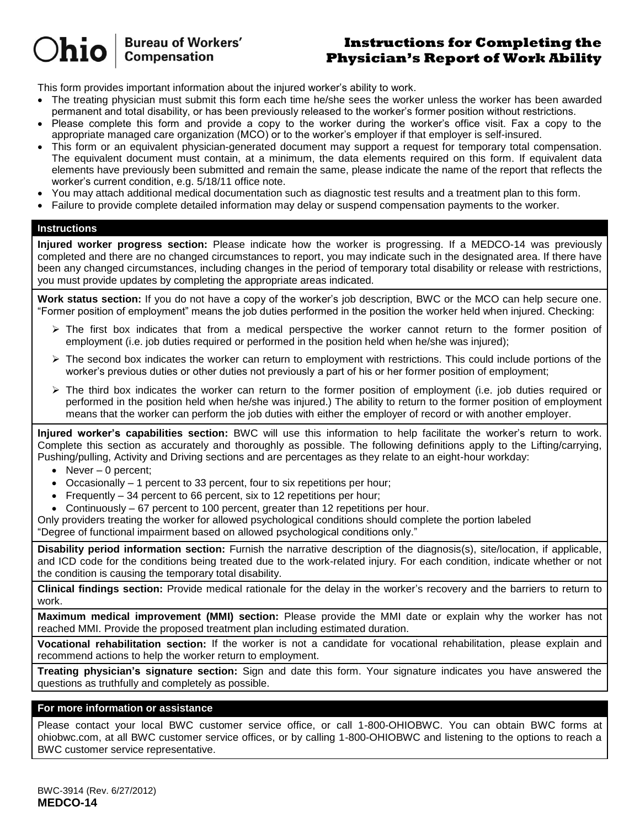**Bureau of Workers' Compensation** 

# **Instructions for Completing the Physician's Report of Work Ability**

This form provides important information about the injured worker's ability to work.

- The treating physician must submit this form each time he/she sees the worker unless the worker has been awarded permanent and total disability, or has been previously released to the worker's former position without restrictions.
- Please complete this form and provide a copy to the worker during the worker's office visit. Fax a copy to the appropriate managed care organization (MCO) or to the worker's employer if that employer is self-insured.
- This form or an equivalent physician-generated document may support a request for temporary total compensation. The equivalent document must contain, at a minimum, the data elements required on this form. If equivalent data elements have previously been submitted and remain the same, please indicate the name of the report that reflects the worker's current condition, e.g. 5/18/11 office note.
- You may attach additional medical documentation such as diagnostic test results and a treatment plan to this form.
- Failure to provide complete detailed information may delay or suspend compensation payments to the worker.

# **Instructions**

 $)$ hio

**Injured worker progress section:** Please indicate how the worker is progressing. If a MEDCO-14 was previously completed and there are no changed circumstances to report, you may indicate such in the designated area. If there have been any changed circumstances, including changes in the period of temporary total disability or release with restrictions, you must provide updates by completing the appropriate areas indicated.

**Work status section:** If you do not have a copy of the worker's job description, BWC or the MCO can help secure one. "Former position of employment" means the job duties performed in the position the worker held when injured. Checking:

- $\triangleright$  The first box indicates that from a medical perspective the worker cannot return to the former position of employment (i.e. job duties required or performed in the position held when he/she was injured);
- $\triangleright$  The second box indicates the worker can return to employment with restrictions. This could include portions of the worker's previous duties or other duties not previously a part of his or her former position of employment;
- $\triangleright$  The third box indicates the worker can return to the former position of employment (i.e. job duties required or performed in the position held when he/she was injured.) The ability to return to the former position of employment means that the worker can perform the job duties with either the employer of record or with another employer.

**Injured worker's capabilities section:** BWC will use this information to help facilitate the worker's return to work. Complete this section as accurately and thoroughly as possible. The following definitions apply to the Lifting/carrying, Pushing/pulling, Activity and Driving sections and are percentages as they relate to an eight-hour workday:

- $\bullet$  Never 0 percent;
- $\bullet$  Occasionally 1 percent to 33 percent, four to six repetitions per hour;
- Frequently 34 percent to 66 percent, six to 12 repetitions per hour;
- Continuously 67 percent to 100 percent, greater than 12 repetitions per hour.

Only providers treating the worker for allowed psychological conditions should complete the portion labeled "Degree of functional impairment based on allowed psychological conditions only."

**Disability period information section:** Furnish the narrative description of the diagnosis(s), site/location, if applicable, and ICD code for the conditions being treated due to the work-related injury. For each condition, indicate whether or not the condition is causing the temporary total disability.

**Clinical findings section:** Provide medical rationale for the delay in the worker's recovery and the barriers to return to work.

**Maximum medical improvement (MMI) section:** Please provide the MMI date or explain why the worker has not reached MMI. Provide the proposed treatment plan including estimated duration.

**Vocational rehabilitation section:** If the worker is not a candidate for vocational rehabilitation, please explain and recommend actions to help the worker return to employment.

**Treating physician's signature section:** Sign and date this form. Your signature indicates you have answered the questions as truthfully and completely as possible.

# **For more information or assistance**

Please contact your local BWC customer service office, or call 1-800-OHIOBWC. You can obtain BWC forms at ohiobwc.com, at all BWC customer service offices, or by calling 1-800-OHIOBWC and listening to the options to reach a BWC customer service representative.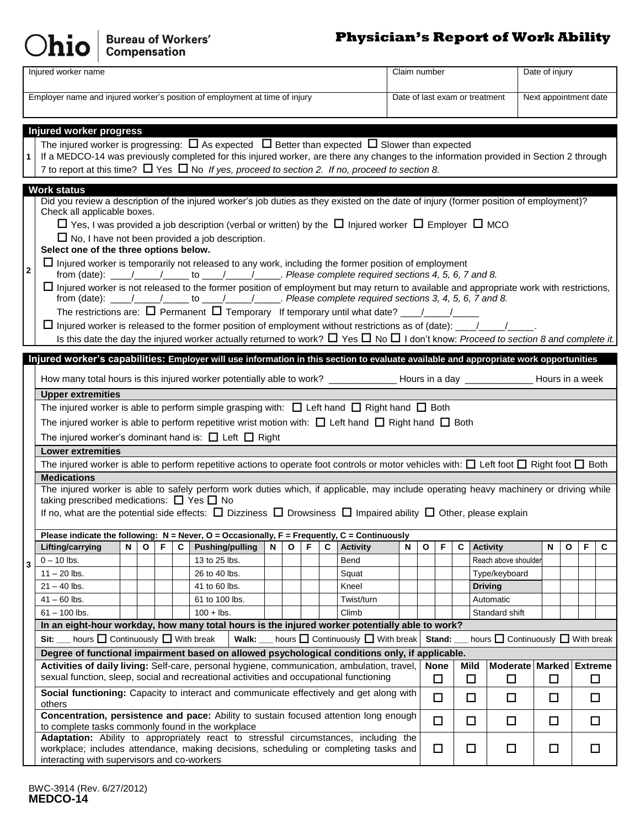# $O$ hio  $\vert$  Bureau of Workers'

# **Physician's Report of Work Ability**

| Injured worker name<br>Claim number                                                                                                         |                                                                                                                                                                                                                             |                               |        |                                |                      | Date of injury          |              |   |   |  |  |  |
|---------------------------------------------------------------------------------------------------------------------------------------------|-----------------------------------------------------------------------------------------------------------------------------------------------------------------------------------------------------------------------------|-------------------------------|--------|--------------------------------|----------------------|-------------------------|--------------|---|---|--|--|--|
| Employer name and injured worker's position of employment at time of injury                                                                 |                                                                                                                                                                                                                             |                               |        | Date of last exam or treatment |                      | Next appointment date   |              |   |   |  |  |  |
|                                                                                                                                             |                                                                                                                                                                                                                             |                               |        |                                |                      |                         |              |   |   |  |  |  |
|                                                                                                                                             |                                                                                                                                                                                                                             |                               |        |                                |                      |                         |              |   |   |  |  |  |
|                                                                                                                                             | Injured worker progress<br>The injured worker is progressing: $\Box$ As expected $\Box$ Better than expected $\Box$ Slower than expected                                                                                    |                               |        |                                |                      |                         |              |   |   |  |  |  |
| 1                                                                                                                                           | If a MEDCO-14 was previously completed for this injured worker, are there any changes to the information provided in Section 2 through                                                                                      |                               |        |                                |                      |                         |              |   |   |  |  |  |
|                                                                                                                                             | 7 to report at this time? $\Box$ Yes $\Box$ No If yes, proceed to section 2. If no, proceed to section 8.                                                                                                                   |                               |        |                                |                      |                         |              |   |   |  |  |  |
| <b>Work status</b>                                                                                                                          |                                                                                                                                                                                                                             |                               |        |                                |                      |                         |              |   |   |  |  |  |
|                                                                                                                                             | Did you review a description of the injured worker's job duties as they existed on the date of injury (former position of employment)?                                                                                      |                               |        |                                |                      |                         |              |   |   |  |  |  |
|                                                                                                                                             | Check all applicable boxes.                                                                                                                                                                                                 |                               |        |                                |                      |                         |              |   |   |  |  |  |
|                                                                                                                                             | $\Box$ Yes, I was provided a job description (verbal or written) by the $\Box$ Injured worker $\Box$ Employer $\Box$ MCO                                                                                                    |                               |        |                                |                      |                         |              |   |   |  |  |  |
|                                                                                                                                             | $\Box$ No, I have not been provided a job description.<br>Select one of the three options below.                                                                                                                            |                               |        |                                |                      |                         |              |   |   |  |  |  |
|                                                                                                                                             | $\Box$ Injured worker is temporarily not released to any work, including the former position of employment                                                                                                                  |                               |        |                                |                      |                         |              |   |   |  |  |  |
| $\boldsymbol{2}$                                                                                                                            |                                                                                                                                                                                                                             |                               |        |                                |                      |                         |              |   |   |  |  |  |
|                                                                                                                                             | $\Box$ Injured worker is not released to the former position of employment but may return to available and appropriate work with restrictions,                                                                              |                               |        |                                |                      |                         |              |   |   |  |  |  |
|                                                                                                                                             | The restrictions are: $\Box$ Permanent $\Box$ Temporary If temporary until what date? $\Box$                                                                                                                                |                               |        |                                |                      |                         |              |   |   |  |  |  |
|                                                                                                                                             |                                                                                                                                                                                                                             |                               |        |                                |                      |                         |              |   |   |  |  |  |
|                                                                                                                                             | Is this date the day the injured worker actually returned to work? $\Box$ Yes $\Box$ No $\Box$ I don't know: Proceed to section 8 and complete it.                                                                          |                               |        |                                |                      |                         |              |   |   |  |  |  |
|                                                                                                                                             | Injured worker's capabilities: Employer will use information in this section to evaluate available and appropriate work opportunities                                                                                       |                               |        |                                |                      |                         |              |   |   |  |  |  |
|                                                                                                                                             |                                                                                                                                                                                                                             |                               |        |                                |                      |                         |              |   |   |  |  |  |
|                                                                                                                                             | How many total hours is this injured worker potentially able to work? ______________Hours in a day _____________Hours in a week<br><b>Upper extremities</b>                                                                 |                               |        |                                |                      |                         |              |   |   |  |  |  |
|                                                                                                                                             | The injured worker is able to perform simple grasping with: $\Box$ Left hand $\Box$ Right hand $\Box$ Both                                                                                                                  |                               |        |                                |                      |                         |              |   |   |  |  |  |
|                                                                                                                                             | The injured worker is able to perform repetitive wrist motion with: $\Box$ Left hand $\Box$ Right hand $\Box$ Both                                                                                                          |                               |        |                                |                      |                         |              |   |   |  |  |  |
|                                                                                                                                             | The injured worker's dominant hand is: $\Box$ Left $\Box$ Right                                                                                                                                                             |                               |        |                                |                      |                         |              |   |   |  |  |  |
|                                                                                                                                             | <b>Lower extremities</b>                                                                                                                                                                                                    |                               |        |                                |                      |                         |              |   |   |  |  |  |
|                                                                                                                                             | The injured worker is able to perform repetitive actions to operate foot controls or motor vehicles with: $\Box$ Left foot $\Box$ Right foot $\Box$ Both                                                                    |                               |        |                                |                      |                         |              |   |   |  |  |  |
|                                                                                                                                             | <b>Medications</b>                                                                                                                                                                                                          |                               |        |                                |                      |                         |              |   |   |  |  |  |
|                                                                                                                                             | The injured worker is able to safely perform work duties which, if applicable, may include operating heavy machinery or driving while<br>taking prescribed medications: $\Box$ Yes $\Box$ No                                |                               |        |                                |                      |                         |              |   |   |  |  |  |
|                                                                                                                                             | If no, what are the potential side effects: $\Box$ Dizziness $\Box$ Drowsiness $\Box$ Impaired ability $\Box$ Other, please explain                                                                                         |                               |        |                                |                      |                         |              |   |   |  |  |  |
|                                                                                                                                             |                                                                                                                                                                                                                             |                               |        |                                |                      |                         |              |   |   |  |  |  |
|                                                                                                                                             | Please indicate the following: $N =$ Never, O = Occasionally, F = Frequently, C = Continuously<br>F<br>C.<br>N<br>F<br><b>Activity</b><br>Lifting/carrying<br>N<br>O<br><b>Pushing/pulling</b><br>O<br>C                    | N                             | O<br>F | C                              | <b>Activity</b>      |                         | $\mathbf{o}$ | F | C |  |  |  |
| 3                                                                                                                                           | $0 - 10$ lbs.<br>13 to 25 lbs.<br>Bend                                                                                                                                                                                      |                               |        |                                | Reach above shoulder |                         |              |   |   |  |  |  |
|                                                                                                                                             | $11 - 20$ lbs.<br>26 to 40 lbs.<br>Squat                                                                                                                                                                                    |                               |        |                                | Type/keyboard        |                         |              |   |   |  |  |  |
|                                                                                                                                             | $21 - 40$ lbs.<br>41 to 60 lbs.<br>Kneel                                                                                                                                                                                    |                               |        |                                | <b>Driving</b>       |                         |              |   |   |  |  |  |
|                                                                                                                                             | 61 to 100 lbs.<br>$41 - 60$ lbs.<br>Twist/turn                                                                                                                                                                              |                               |        |                                | Automatic            |                         |              |   |   |  |  |  |
|                                                                                                                                             | $100 +$ lbs.<br>$61 - 100$ lbs.<br>Climb                                                                                                                                                                                    |                               |        |                                | Standard shift       |                         |              |   |   |  |  |  |
|                                                                                                                                             | In an eight-hour workday, how many total hours is the injured worker potentially able to work?<br>hours $\Box$ Continuously $\Box$ With break<br>Walk:<br>Sit:                                                              | hours Continuously Nith break |        |                                |                      |                         |              |   |   |  |  |  |
| hours C Continuously Vith break<br>Stand:<br>Degree of functional impairment based on allowed psychological conditions only, if applicable. |                                                                                                                                                                                                                             |                               |        |                                |                      |                         |              |   |   |  |  |  |
|                                                                                                                                             | Activities of daily living: Self-care, personal hygiene, communication, ambulation, travel,                                                                                                                                 |                               |        |                                |                      | Moderate Marked Extreme |              |   |   |  |  |  |
|                                                                                                                                             | sexual function, sleep, social and recreational activities and occupational functioning                                                                                                                                     |                               | $\Box$ | $\Box$                         | □                    | $\Box$                  |              | □ |   |  |  |  |
|                                                                                                                                             | Social functioning: Capacity to interact and communicate effectively and get along with<br>$\Box$<br>□<br>$\Box$<br>□<br>◻<br>others                                                                                        |                               |        |                                |                      |                         |              |   |   |  |  |  |
|                                                                                                                                             | Concentration, persistence and pace: Ability to sustain focused attention long enough<br>to complete tasks commonly found in the workplace                                                                                  |                               |        |                                | □                    | $\Box$                  | □            |   |   |  |  |  |
|                                                                                                                                             | Adaptation: Ability to appropriately react to stressful circumstances, including the<br>workplace; includes attendance, making decisions, scheduling or completing tasks and<br>interacting with supervisors and co-workers | $\Box$                        | □      | □<br>$\Box$                    |                      |                         | □            |   |   |  |  |  |